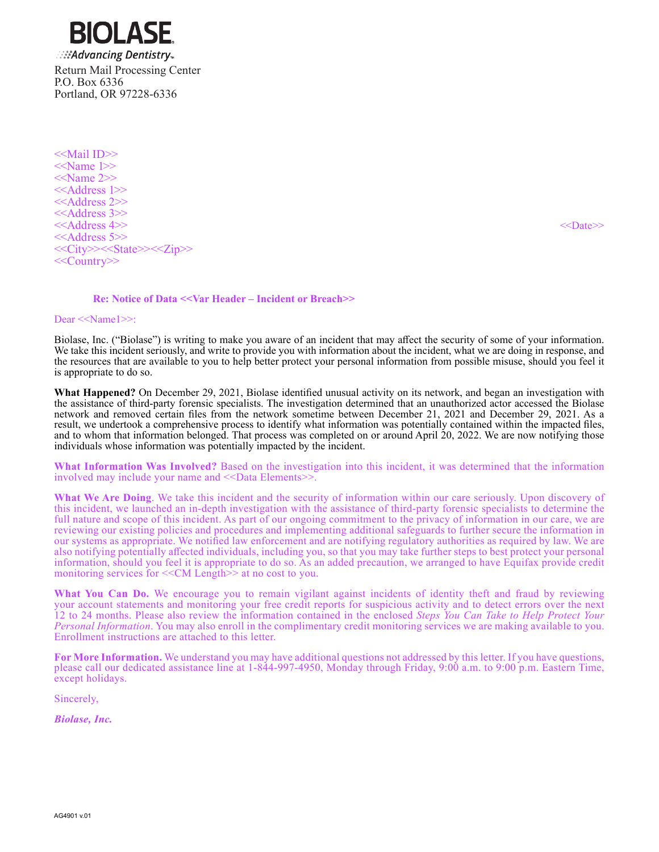ים ור **Advancing Dentistry** Return Mail Processing Center P.O. Box 6336 Portland, OR 97228-6336

<<Mail ID>> <<Name 1>> <<Name 2>> <<Address 1>> <<Address 2>> <<Address 3>> <<Address 4>> <<Date>> <<Address 5>> <<City>><<State>><<Zip>> <<Country>>

## **Re: Notice of Data <<Var Header – Incident or Breach>>**

Dear <<Name1>>:

Biolase, Inc. ("Biolase") is writing to make you aware of an incident that may affect the security of some of your information. We take this incident seriously, and write to provide you with information about the incident, what we are doing in response, and the resources that are available to you to help better protect your personal information from possible misuse, should you feel it is appropriate to do so.

**What Happened?** On December 29, 2021, Biolase identified unusual activity on its network, and began an investigation with the assistance of third-party forensic specialists. The investigation determined that an unauthorized actor accessed the Biolase network and removed certain files from the network sometime between December 21, 2021 and December 29, 2021. As a result, we undertook a comprehensive process to identify what information was potentially contained within the impacted files, and to whom that information belonged. That process was completed on or around April 20, 2022. We are now notifying those individuals whose information was potentially impacted by the incident.

**What Information Was Involved?** Based on the investigation into this incident, it was determined that the information involved may include your name and <<Data Elements>>.

**What We Are Doing**. We take this incident and the security of information within our care seriously. Upon discovery of this incident, we launched an in-depth investigation with the assistance of third-party forensic specialists to determine the full nature and scope of this incident. As part of our ongoing commitment to the privacy of information in our care, we are reviewing our existing policies and procedures and implementing additional safeguards to further secure the information in our systems as appropriate. We notified law enforcement and are notifying regulatory authorities as required by law. We are also notifying potentially affected individuals, including you, so that you may take further steps to best protect your personal information, should you feel it is appropriate to do so. As an added precaution, we arranged to have Equifax provide credit monitoring services for  $< Length>> at no cost to you.$ 

**What You Can Do.** We encourage you to remain vigilant against incidents of identity theft and fraud by reviewing your account statements and monitoring your free credit reports for suspicious activity and to detect errors over the next 12 to 24 months. Please also review the information contained in the enclosed *Steps You Can Take to Help Protect Your Personal Information*. You may also enroll in the complimentary credit monitoring services we are making available to you. Enrollment instructions are attached to this letter.

**For More Information.** We understand you may have additional questions not addressed by this letter. If you have questions, please call our dedicated assistance line at 1-844-997-4950, Monday through Friday, 9:00 a.m. to 9:00 p.m. Eastern Time, except holidays.

Sincerely,

*Biolase, Inc.*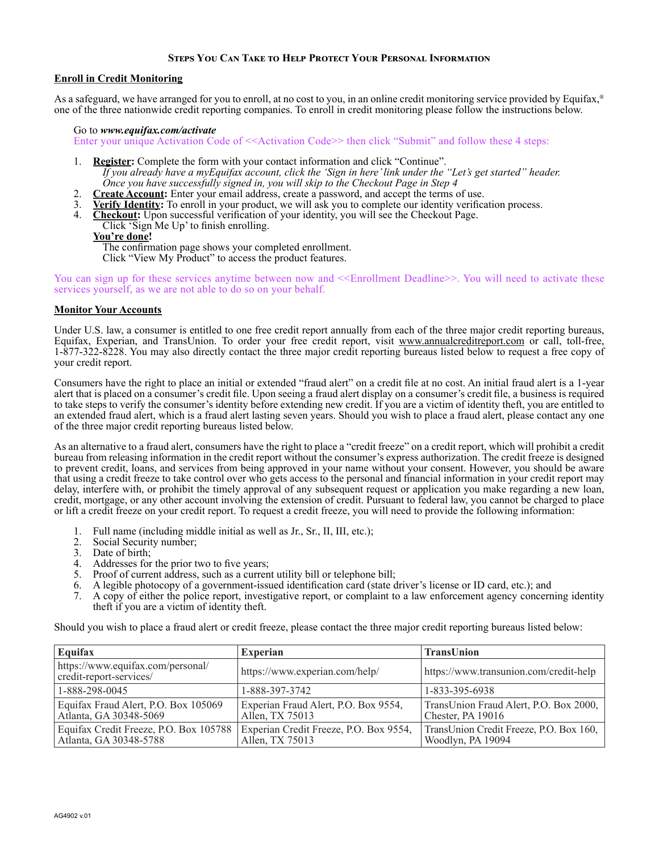# **Steps You Can Take to Help Protect Your Personal Information**

# **Enroll in Credit Monitoring**

As a safeguard, we have arranged for you to enroll, at no cost to you, in an online credit monitoring service provided by Equifax,<sup>®</sup> one of the three nationwide credit reporting companies. To enroll in credit monitoring please follow the instructions below.

### Go to *www.equifax.com/activate*

Enter your unique Activation Code of  $\leq$ Activation Code>> then click "Submit" and follow these 4 steps:

- 1. **Register:** Complete the form with your contact information and click "Continue". *If you already have a myEquifax account, click the 'Sign in here' link under the "Let's get started" header. Once you have successfully signed in, you will skip to the Checkout Page in Step 4*
- 2. **Create Account:** Enter your email address, create a password, and accept the terms of use.
- 3. **Verify Identity:** To enroll in your product, we will ask you to complete our identity verification process.
- 4. **Checkout:** Upon successful verification of your identity, you will see the Checkout Page.
- Click 'Sign Me Up' to finish enrolling.

### **You're done!**

The confirmation page shows your completed enrollment. Click "View My Product" to access the product features.

You can sign up for these services anytime between now and <<Enrollment Deadline>>. You will need to activate these services yourself, as we are not able to do so on your behalf.

#### **Monitor Your Accounts**

Under U.S. law, a consumer is entitled to one free credit report annually from each of the three major credit reporting bureaus, Equifax, Experian, and TransUnion. To order your free credit report, visit www.annualcreditreport.com or call, toll-free, 1-877-322-8228. You may also directly contact the three major credit reporting bureaus listed below to request a free copy of your credit report.

Consumers have the right to place an initial or extended "fraud alert" on a credit file at no cost. An initial fraud alert is a 1-year alert that is placed on a consumer's credit file. Upon seeing a fraud alert display on a consumer's credit file, a business is required to take steps to verify the consumer's identity before extending new credit. If you are a victim of identity theft, you are entitled to an extended fraud alert, which is a fraud alert lasting seven years. Should you wish to place a fraud alert, please contact any one of the three major credit reporting bureaus listed below.

As an alternative to a fraud alert, consumers have the right to place a "credit freeze" on a credit report, which will prohibit a credit bureau from releasing information in the credit report without the consumer's express authorization. The credit freeze is designed to prevent credit, loans, and services from being approved in your name without your consent. However, you should be aware that using a credit freeze to take control over who gets access to the personal and financial information in your credit report may delay, interfere with, or prohibit the timely approval of any subsequent request or application you make regarding a new loan, credit, mortgage, or any other account involving the extension of credit. Pursuant to federal law, you cannot be charged to place or lift a credit freeze on your credit report. To request a credit freeze, you will need to provide the following information:

- 1. Full name (including middle initial as well as Jr., Sr., II, III, etc.);
- 2. Social Security number;
- 3. Date of birth;
- 4. Addresses for the prior two to five years;
- 5. Proof of current address, such as a current utility bill or telephone bill;
- 6. A legible photocopy of a government-issued identification card (state driver's license or ID card, etc.); and
- 7. A copy of either the police report, investigative report, or complaint to a law enforcement agency concerning identity theft if you are a victim of identity theft.

Should you wish to place a fraud alert or credit freeze, please contact the three major credit reporting bureaus listed below:

| Equifax                                                          | <b>Experian</b>                                           | <b>TransUnion</b>                                            |
|------------------------------------------------------------------|-----------------------------------------------------------|--------------------------------------------------------------|
| https://www.equifax.com/personal/<br>credit-report-services/     | https://www.experian.com/help/                            | https://www.transunion.com/credit-help                       |
| 1-888-298-0045                                                   | 1-888-397-3742                                            | 1-833-395-6938                                               |
| Equifax Fraud Alert, P.O. Box 105069<br>Atlanta, GA 30348-5069   | Experian Fraud Alert, P.O. Box 9554,<br>Allen, TX 75013   | TransUnion Fraud Alert, P.O. Box 2000,<br>Chester, PA 19016  |
| Equifax Credit Freeze, P.O. Box 105788<br>Atlanta, GA 30348-5788 | Experian Credit Freeze, P.O. Box 9554,<br>Allen, TX 75013 | TransUnion Credit Freeze, P.O. Box 160,<br>Woodlyn, PA 19094 |